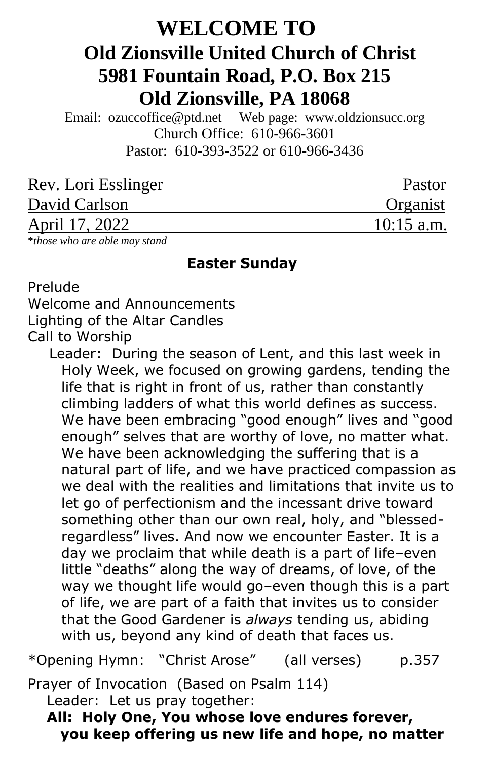# **WELCOME TO Old Zionsville United Church of Christ 5981 Fountain Road, P.O. Box 215 Old Zionsville, PA 18068**

Email: [ozuccoffice@ptd.net](mailto:ozuccoffice@ptd.net) Web page: [www.ol](http://www.uccwebsites.net/oldzionsvilleuccpa.html)dzionsucc.org Church Office: 610-966-3601 Pastor: 610-393-3522 or 610-966-3436

| Rev. Lori Esslinger | Pastor       |
|---------------------|--------------|
| David Carlson       | Organist     |
| April 17, 2022      | $10:15$ a.m. |
|                     |              |

\**those who are able may stand*

#### **Easter Sunday**

Prelude

Welcome and Announcements

Lighting of the Altar Candles

Call to Worship

Leader: During the season of Lent, and this last week in Holy Week, we focused on growing gardens, tending the life that is right in front of us, rather than constantly climbing ladders of what this world defines as success. We have been embracing "good enough" lives and "good enough" selves that are worthy of love, no matter what. We have been acknowledging the suffering that is a natural part of life, and we have practiced compassion as we deal with the realities and limitations that invite us to let go of perfectionism and the incessant drive toward something other than our own real, holy, and "blessedregardless" lives. And now we encounter Easter. It is a day we proclaim that while death is a part of life–even little "deaths" along the way of dreams, of love, of the way we thought life would go–even though this is a part of life, we are part of a faith that invites us to consider that the Good Gardener is *always* tending us, abiding with us, beyond any kind of death that faces us.

\*Opening Hymn: "Christ Arose" (all verses) p.357

Prayer of Invocation (Based on Psalm 114)

Leader: Let us pray together:

 **All: Holy One, You whose love endures forever, you keep offering us new life and hope, no matter**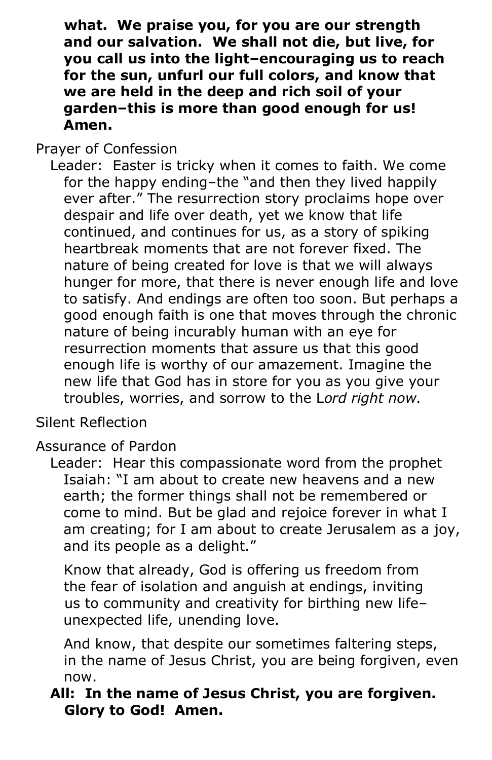**what. We praise you, for you are our strength and our salvation. We shall not die, but live, for you call us into the light–encouraging us to reach for the sun, unfurl our full colors, and know that we are held in the deep and rich soil of your garden–this is more than good enough for us! Amen.**

Prayer of Confession

 Leader: Easter is tricky when it comes to faith. We come for the happy ending–the "and then they lived happily ever after." The resurrection story proclaims hope over despair and life over death, yet we know that life continued, and continues for us, as a story of spiking heartbreak moments that are not forever fixed. The nature of being created for love is that we will always hunger for more, that there is never enough life and love to satisfy. And endings are often too soon. But perhaps a good enough faith is one that moves through the chronic nature of being incurably human with an eye for resurrection moments that assure us that this good enough life is worthy of our amazement. Imagine the new life that God has in store for you as you give your troubles, worries, and sorrow to the L*ord right now.*

Silent Reflection

Assurance of Pardon

 Leader: Hear this compassionate word from the prophet Isaiah: "I am about to create new heavens and a new earth; the former things shall not be remembered or come to mind. But be glad and rejoice forever in what I am creating; for I am about to create Jerusalem as a joy, and its people as a delight."

Know that already, God is offering us freedom from the fear of isolation and anguish at endings, inviting us to community and creativity for birthing new life– unexpected life, unending love.

And know, that despite our sometimes faltering steps, in the name of Jesus Christ, you are being forgiven, even now.

# **All: In the name of Jesus Christ, you are forgiven. Glory to God! Amen.**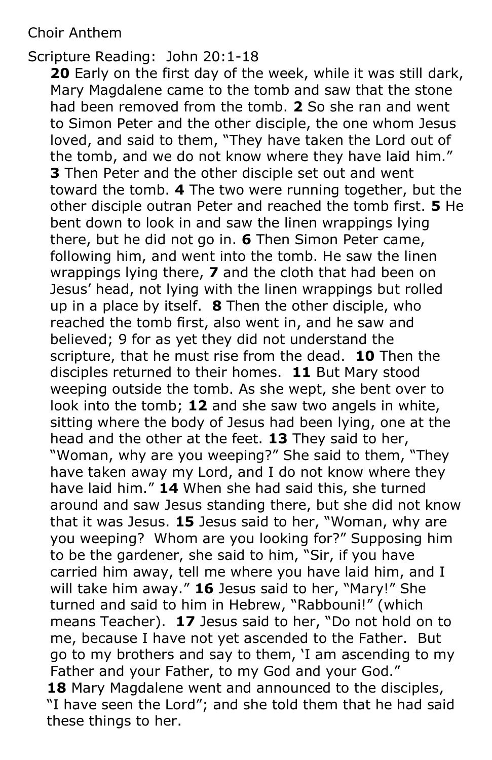#### Choir Anthem

Scripture Reading: John 20:1-18

**20** Early on the first day of the week, while it was still dark, Mary Magdalene came to the tomb and saw that the stone had been removed from the tomb. **2** So she ran and went to Simon Peter and the other disciple, the one whom Jesus loved, and said to them, "They have taken the Lord out of the tomb, and we do not know where they have laid him." **3** Then Peter and the other disciple set out and went toward the tomb. **4** The two were running together, but the other disciple outran Peter and reached the tomb first. **5** He bent down to look in and saw the linen wrappings lying there, but he did not go in. **6** Then Simon Peter came, following him, and went into the tomb. He saw the linen wrappings lying there, **7** and the cloth that had been on Jesus' head, not lying with the linen wrappings but rolled up in a place by itself. **8** Then the other disciple, who reached the tomb first, also went in, and he saw and believed; 9 for as yet they did not understand the scripture, that he must rise from the dead. **10** Then the disciples returned to their homes. **11** But Mary stood weeping outside the tomb. As she wept, she bent over to look into the tomb; **12** and she saw two angels in white, sitting where the body of Jesus had been lying, one at the head and the other at the feet. **13** They said to her, "Woman, why are you weeping?" She said to them, "They have taken away my Lord, and I do not know where they have laid him." **14** When she had said this, she turned around and saw Jesus standing there, but she did not know that it was Jesus. **15** Jesus said to her, "Woman, why are you weeping? Whom are you looking for?" Supposing him to be the gardener, she said to him, "Sir, if you have carried him away, tell me where you have laid him, and I will take him away." **16** Jesus said to her, "Mary!" She turned and said to him in Hebrew, "Rabbouni!" (which means Teacher). **17** Jesus said to her, "Do not hold on to me, because I have not yet ascended to the Father. But go to my brothers and say to them, 'I am ascending to my Father and your Father, to my God and your God." **18** Mary Magdalene went and announced to the disciples, "I have seen the Lord"; and she told them that he had said these things to her.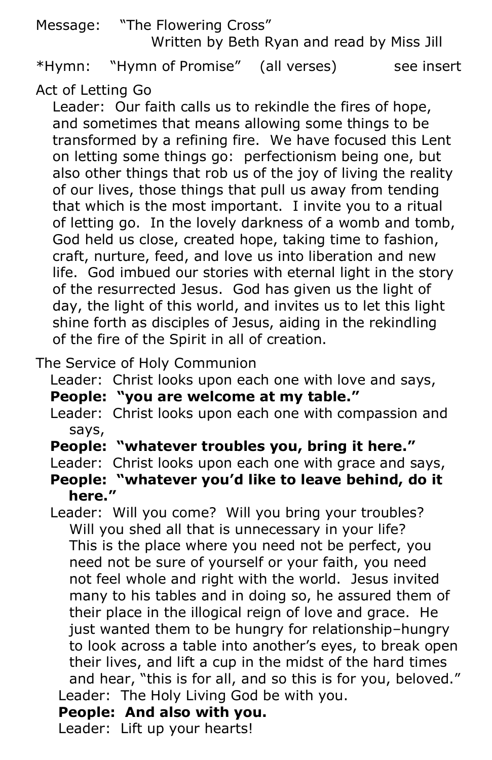# Message: "The Flowering Cross" Written by Beth Ryan and read by Miss Jill

\*Hymn: "Hymn of Promise" (all verses) see insert

Act of Letting Go

Leader: Our faith calls us to rekindle the fires of hope, and sometimes that means allowing some things to be transformed by a refining fire. We have focused this Lent on letting some things go: perfectionism being one, but also other things that rob us of the joy of living the reality of our lives, those things that pull us away from tending that which is the most important. I invite you to a ritual of letting go. In the lovely darkness of a womb and tomb, God held us close, created hope, taking time to fashion, craft, nurture, feed, and love us into liberation and new life. God imbued our stories with eternal light in the story of the resurrected Jesus. God has given us the light of day, the light of this world, and invites us to let this light shine forth as disciples of Jesus, aiding in the rekindling of the fire of the Spirit in all of creation.

The Service of Holy Communion

Leader: Christ looks upon each one with love and says,

 **People: "you are welcome at my table."**

- Leader: Christ looks upon each one with compassion and says,
- **People: "whatever troubles you, bring it here."**

Leader: Christ looks upon each one with grace and says,

- **People: "whatever you'd like to leave behind, do it here."**
- Leader: Will you come? Will you bring your troubles? Will you shed all that is unnecessary in your life? This is the place where you need not be perfect, you need not be sure of yourself or your faith, you need not feel whole and right with the world. Jesus invited many to his tables and in doing so, he assured them of their place in the illogical reign of love and grace. He just wanted them to be hungry for relationship–hungry to look across a table into another's eyes, to break open their lives, and lift a cup in the midst of the hard times and hear, "this is for all, and so this is for you, beloved." Leader: The Holy Living God be with you.

**People: And also with you.**

Leader: Lift up your hearts!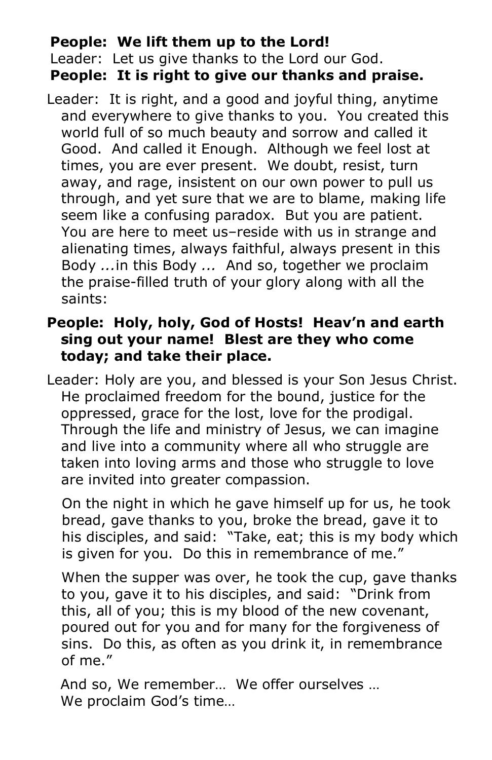## **People: We lift them up to the Lord!**

Leader: Let us give thanks to the Lord our God. **People: It is right to give our thanks and praise.**

 Leader: It is right, and a good and joyful thing, anytime and everywhere to give thanks to you. You created this world full of so much beauty and sorrow and called it Good. And called it Enough. Although we feel lost at times, you are ever present. We doubt, resist, turn away, and rage, insistent on our own power to pull us through, and yet sure that we are to blame, making life seem like a confusing paradox. But you are patient. You are here to meet us–reside with us in strange and alienating times, always faithful, always present in this Body *...*in this Body *...* And so, together we proclaim the praise-filled truth of your glory along with all the saints:

# **People: Holy, holy, God of Hosts! Heav'n and earth sing out your name! Blest are they who come today; and take their place.**

 Leader: Holy are you, and blessed is your Son Jesus Christ. He proclaimed freedom for the bound, justice for the oppressed, grace for the lost, love for the prodigal. Through the life and ministry of Jesus, we can imagine and live into a community where all who struggle are taken into loving arms and those who struggle to love are invited into greater compassion.

On the night in which he gave himself up for us, he took bread, gave thanks to you, broke the bread, gave it to his disciples, and said: "Take, eat; this is my body which is given for you. Do this in remembrance of me."

When the supper was over, he took the cup, gave thanks to you, gave it to his disciples, and said: "Drink from this, all of you; this is my blood of the new covenant, poured out for you and for many for the forgiveness of sins. Do this, as often as you drink it, in remembrance of me."

And so, We remember… We offer ourselves … We proclaim God's time…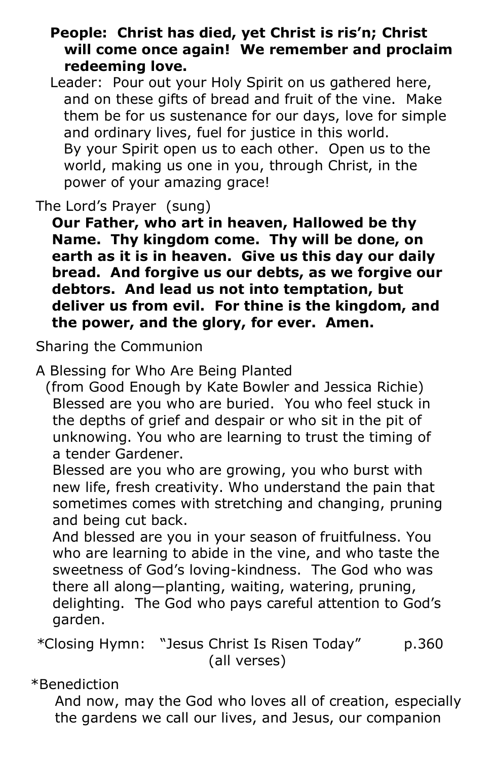## **People: Christ has died, yet Christ is ris'n; Christ will come once again! We remember and proclaim redeeming love.**

 Leader: Pour out your Holy Spirit on us gathered here, and on these gifts of bread and fruit of the vine. Make them be for us sustenance for our days, love for simple and ordinary lives, fuel for justice in this world. By your Spirit open us to each other. Open us to the world, making us one in you, through Christ, in the power of your amazing grace!

The Lord's Prayer (sung)

**Our Father, who art in heaven, Hallowed be thy Name. Thy kingdom come. Thy will be done, on earth as it is in heaven. Give us this day our daily bread. And forgive us our debts, as we forgive our debtors. And lead us not into temptation, but deliver us from evil. For thine is the kingdom, and the power, and the glory, for ever. Amen.**

Sharing the Communion

A Blessing for Who Are Being Planted

 (from Good Enough by Kate Bowler and Jessica Richie) Blessed are you who are buried. You who feel stuck in the depths of grief and despair or who sit in the pit of unknowing. You who are learning to trust the timing of a tender Gardener.

Blessed are you who are growing, you who burst with new life, fresh creativity. Who understand the pain that sometimes comes with stretching and changing, pruning and being cut back.

And blessed are you in your season of fruitfulness. You who are learning to abide in the vine, and who taste the sweetness of God's loving-kindness. The God who was there all along—planting, waiting, watering, pruning, delighting. The God who pays careful attention to God's garden.

*\**Closing Hymn: "Jesus Christ Is Risen Today" p.360 (all verses)

\*Benediction

 And now, may the God who loves all of creation, especially the gardens we call our lives, and Jesus, our companion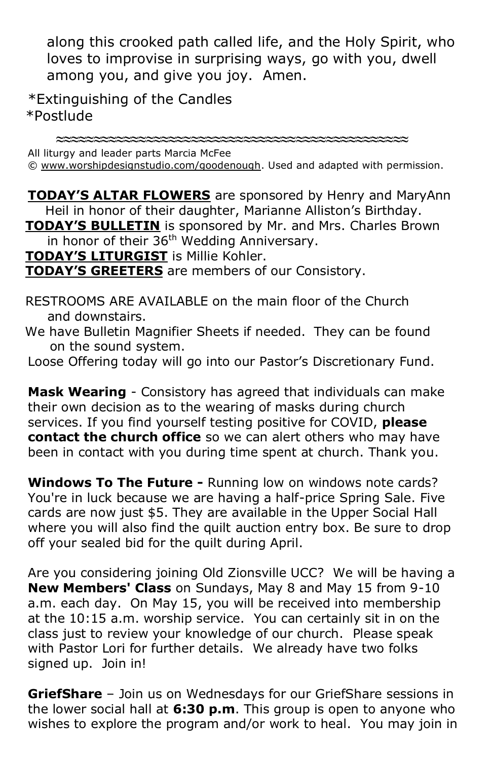along this crooked path called life, and the Holy Spirit, who loves to improvise in surprising ways, go with you, dwell among you, and give you joy. Amen.

\*Extinguishing of the Candles \*Postlude

**≈≈≈≈≈≈≈≈≈≈≈≈≈≈≈≈≈≈≈≈≈≈≈≈≈≈≈≈≈≈≈≈≈≈≈≈≈≈≈≈≈≈≈≈≈≈≈**

All liturgy and leader parts Marcia McFee

© [www.worshipdesignstudio.com/goodenough.](http://www.worshipdesignstudio.com/goodenough) Used and adapted with permission.

**TODAY'S ALTAR FLOWERS** are sponsored by Henry and MaryAnn Heil in honor of their daughter, Marianne Alliston's Birthday. **TODAY'S BULLETIN** is sponsored by Mr. and Mrs. Charles Brown in honor of their  $36<sup>th</sup>$  Wedding Anniversary.

**TODAY'S LITURGIST** is Millie Kohler.

**TODAY'S GREETERS** are members of our Consistory.

 RESTROOMS ARE AVAILABLE on the main floor of the Church and downstairs.

 We have Bulletin Magnifier Sheets if needed. They can be found on the sound system.

Loose Offering today will go into our Pastor's Discretionary Fund.

**Mask Wearing** - Consistory has agreed that individuals can make their own decision as to the wearing of masks during church services. If you find yourself testing positive for COVID, **please contact the church office** so we can alert others who may have been in contact with you during time spent at church. Thank you.

**Windows To The Future -** Running low on windows note cards? You're in luck because we are having a half-price Spring Sale. Five cards are now just \$5. They are available in the Upper Social Hall where you will also find the quilt auction entry box. Be sure to drop off your sealed bid for the quilt during April.

Are you considering joining Old Zionsville UCC? We will be having a **New Members' Class** on Sundays, May 8 and May 15 from 9-10 a.m. each day. On May 15, you will be received into membership at the 10:15 a.m. worship service. You can certainly sit in on the class just to review your knowledge of our church. Please speak with Pastor Lori for further details. We already have two folks signed up. Join in!

**GriefShare** – Join us on Wednesdays for our GriefShare sessions in the lower social hall at **6:30 p.m**. This group is open to anyone who wishes to explore the program and/or work to heal. You may join in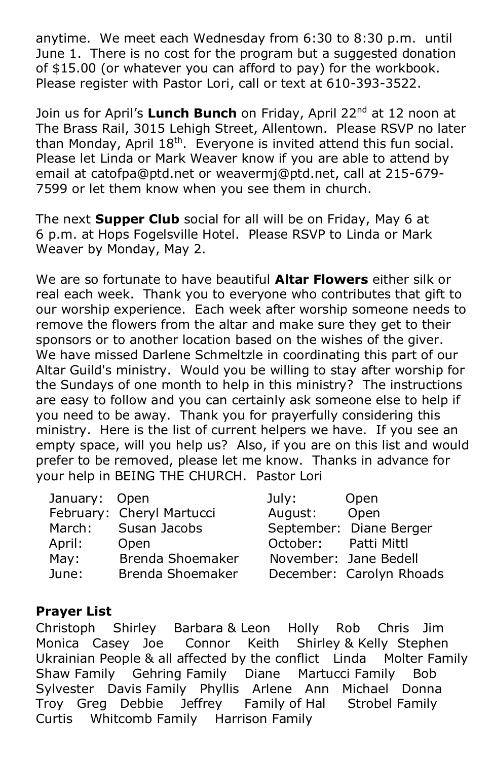anytime. We meet each Wednesday from 6:30 to 8:30 p.m. until June 1. There is no cost for the program but a suggested donation of \$15.00 (or whatever you can afford to pay) for the workbook. Please register with Pastor Lori, call or text at 610-393-3522.

Join us for April's **Lunch Bunch** on Friday, April 22nd at 12 noon at The Brass Rail, 3015 Lehigh Street, Allentown. Please RSVP no later than Monday, April  $18<sup>th</sup>$ . Everyone is invited attend this fun social. Please let Linda or Mark Weaver know if you are able to attend by email at [catofpa@ptd.net](mailto:catofpa@ptd.net) or [weavermj@ptd.net,](mailto:weavermj@ptd.net) call at 215-679- 7599 or let them know when you see them in church.

The next **Supper Club** social for all will be on Friday, May 6 at 6 p.m. at Hops Fogelsville Hotel. Please RSVP to Linda or Mark Weaver by Monday, May 2.

We are so fortunate to have beautiful **Altar Flowers** either silk or real each week. Thank you to everyone who contributes that gift to our worship experience. Each week after worship someone needs to remove the flowers from the altar and make sure they get to their sponsors or to another location based on the wishes of the giver. We have missed Darlene Schmeltzle in coordinating this part of our Altar Guild's ministry. Would you be willing to stay after worship for the Sundays of one month to help in this ministry? The instructions are easy to follow and you can certainly ask someone else to help if you need to be away. Thank you for prayerfully considering this ministry. Here is the list of current helpers we have. If you see an empty space, will you help us? Also, if you are on this list and would prefer to be removed, please let me know. Thanks in advance for your help in BEING THE CHURCH. Pastor Lori

| January: Open |                           | July:                | Open                     |
|---------------|---------------------------|----------------------|--------------------------|
|               | February: Cheryl Martucci | August: Open         |                          |
| March:        | Susan Jacobs              |                      | September: Diane Berger  |
| April:        | Open                      | October: Patti Mittl |                          |
| May:          | Brenda Shoemaker          |                      | November: Jane Bedell    |
| June:         | Brenda Shoemaker          |                      | December: Carolyn Rhoads |

#### **Prayer List**

Christoph Shirley Barbara & Leon Holly Rob Chris Jim Monica Casey Joe Connor Keith Shirley & Kelly Stephen Ukrainian People & all affected by the conflict Linda Molter Family Shaw Family Gehring Family Diane Martucci Family Bob Sylvester Davis Family Phyllis Arlene Ann Michael Donna Troy Greg Debbie Jeffrey Family of Hal Strobel Family Curtis Whitcomb Family Harrison Family